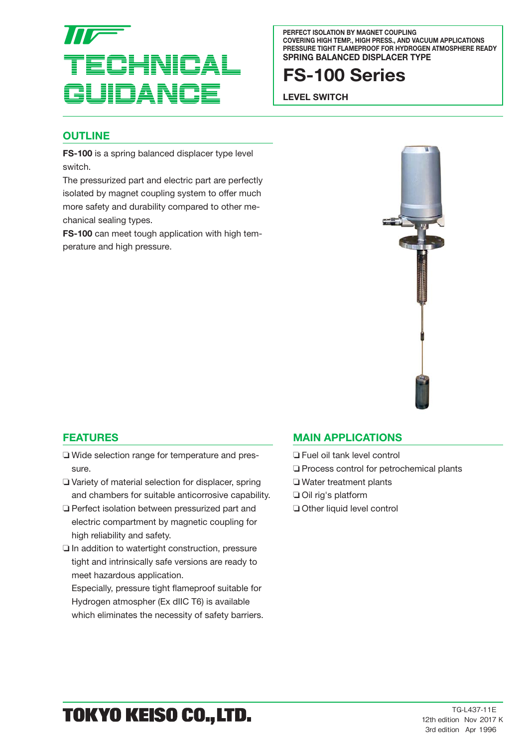

**PERFECT ISOLATION BY MAGNET COUPLING COVERING HIGH TEMP., HIGH PRESS., AND VACUUM APPLICATIONS PRESSURE TIGHT FLAMEPROOF FOR HYDROGEN ATMOSPHERE READY SPRING BALANCED DISPLACER TYPE**

## **FS-100 Series**

**LEVEL SWITCH**

#### **OUTLINE**

**FS-100** is a spring balanced displacer type level switch.

The pressurized part and electric part are perfectly isolated by magnet coupling system to offer much more safety and durability compared to other mechanical sealing types.

**FS-100** can meet tough application with high temperature and high pressure.



#### **FEATURES**

- ❏ Wide selection range for temperature and pressure.
- ❏ Variety of material selection for displacer, spring and chambers for suitable anticorrosive capability.
- ❏ Perfect isolation between pressurized part and electric compartment by magnetic coupling for high reliability and safety.
- ❏ In addition to watertight construction, pressure tight and intrinsically safe versions are ready to meet hazardous application.

Especially, pressure tight flameproof suitable for Hydrogen atmospher (Ex dIIC T6) is available which eliminates the necessity of safety barriers.

#### **MAIN APPLICATIONS**

- ❏ Fuel oil tank level control
- ❏ Process control for petrochemical plants
- ❏ Water treatment plants
- ❏ Oil rig's platform
- ❏ Other liquid level control

# TOKYO KEISO CO., LTD.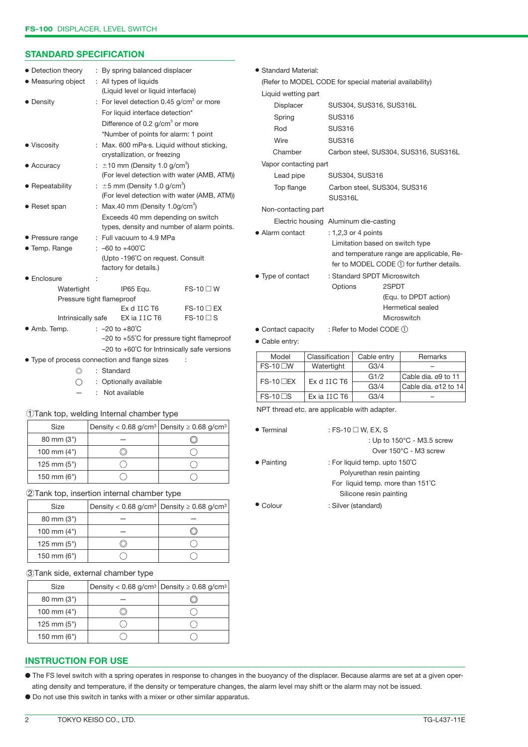#### **STANDARD SPECIFICATION**

| • Detection theory                                       |    | : By spring balanced displacer                                             |                   |  |  |
|----------------------------------------------------------|----|----------------------------------------------------------------------------|-------------------|--|--|
| • Measuring object                                       |    | : All types of liquids                                                     |                   |  |  |
|                                                          |    | (Liquid level or liquid interface)                                         |                   |  |  |
| • Density                                                |    | : For level detection 0.45 $q/cm3$ or more                                 |                   |  |  |
|                                                          |    | For liquid interface detection*                                            |                   |  |  |
|                                                          |    | Difference of 0.2 g/cm <sup>3</sup> or more                                |                   |  |  |
|                                                          |    | *Number of points for alarm: 1 point                                       |                   |  |  |
| • Viscosity                                              |    | : Max. 600 mPa.s. Liquid without sticking,<br>crystallization, or freezing |                   |  |  |
| • Accuracy                                               | ÷. | $\pm$ 10 mm (Density 1.0 g/cm <sup>3</sup> )                               |                   |  |  |
|                                                          |    | (For level detection with water (AMB, ATM))                                |                   |  |  |
| • Repeatability                                          |    | : $\pm 5$ mm (Density 1.0 g/cm <sup>3</sup> )                              |                   |  |  |
|                                                          |    | (For level detection with water (AMB, ATM))                                |                   |  |  |
| • Reset span                                             |    | : Max.40 mm (Density $1.0$ g/cm <sup>3</sup> )                             |                   |  |  |
|                                                          |    | Exceeds 40 mm depending on switch                                          |                   |  |  |
|                                                          |    | types, density and number of alarm points.                                 |                   |  |  |
| • Pressure range                                         |    | : Full vacuum to 4.9 MPa                                                   |                   |  |  |
| • Temp. Range                                            |    | : $-60$ to $+400^{\circ}$ C                                                |                   |  |  |
|                                                          |    | (Upto -196°C on request. Consult                                           |                   |  |  |
|                                                          |    | factory for details.)                                                      |                   |  |  |
| $\bullet$ Enclosure                                      |    |                                                                            |                   |  |  |
| Watertight                                               |    | IP65 Equ.                                                                  | $FS-10 \square W$ |  |  |
|                                                          |    | Pressure tight flameproof                                                  |                   |  |  |
|                                                          |    | Ex d IIC T6                                                                | $FS-10$ $\Box$ EX |  |  |
| Intrinsically safe                                       |    | EX ia IIC T6                                                               | $FS-10 \square S$ |  |  |
| • Amb. Temp.                                             |    | : $-20$ to $+80^{\circ}$ C                                                 |                   |  |  |
|                                                          |    | $-20$ to $+55^{\circ}$ C for pressure tight flameproof                     |                   |  |  |
| $-20$ to $+60^{\circ}$ C for Intrinsically safe versions |    |                                                                            |                   |  |  |
| • Type of process connection and flange sizes<br>t       |    |                                                                            |                   |  |  |

● Standard Material: (Refer to MODEL CODE for special material availability) Liquid wetting part Displacer SUS304, SUS316, SUS316L Spring SUS316 Rod SUS316 Wire SUS316 Chamber Carbon steel, SUS304, SUS316, SUS316L Vapor contacting part Lead pipe SUS304, SUS316 Top flange Carbon steel, SUS304, SUS316 SUS316L Non-contacting part Electric housing Aluminum die-casting ● Alarm contact : 1,2,3 or 4 points Limitation based on switch type and temperature range are applicable, Refer to MODEL CODE ① for further details. ● Type of contact : Standard SPDT Microswitch Options 2SPDT (Equ. to DPDT action) Hermetical sealed **Microswitch** ● Contact capacity : Refer to Model CODE ① ● Cable entry:

| Model             | Classification | Cable entry      | Remarks              |
|-------------------|----------------|------------------|----------------------|
| $FS-10$ M         | Watertight     | G <sub>3/4</sub> |                      |
| $FS-10$ $\neg$ EX | Ex d IIC T6    | G1/2             | Cable dia, ø9 to 11  |
|                   |                | G <sub>3/4</sub> | Cable dia, ø12 to 14 |
| $FS-10$ S         | Ex ia IIC T6   | G <sub>3/4</sub> |                      |

NPT thread etc. are applicable with adapter.

| • Terminal       | : FS-10 $\Box$ W, EX, S              |
|------------------|--------------------------------------|
|                  | : Up to $150^{\circ}$ C - M3.5 screw |
|                  | Over 150°C - M3 screw                |
| • Painting       | : For liquid temp. upto 150°C        |
|                  | Polyurethan resin painting           |
|                  | For liquid temp. more than 151°C     |
|                  | Silicone resin painting              |
| $\bullet$ Colour | : Silver (standard)                  |

#### $\bigcirc$ 150 mm (6") 2 Tank top, insertion internal chamber type

1 Tank top, welding Internal chamber type

◎ : Standard

80 mm (3") 100 mm (4") 125 mm (5")

| $\omega$ rank top, moortion mitorial onamion type |  |                                                                        |  |  |  |
|---------------------------------------------------|--|------------------------------------------------------------------------|--|--|--|
| Size                                              |  | Density < 0.68 g/cm <sup>3</sup> Density $\geq$ 0.68 g/cm <sup>3</sup> |  |  |  |
| $80 \text{ mm} (3")$                              |  |                                                                        |  |  |  |
| 100 mm $(4")$                                     |  |                                                                        |  |  |  |
| 125 mm $(5")$                                     |  |                                                                        |  |  |  |
| 150 mm $(6")$                                     |  |                                                                        |  |  |  |

Size  $\vert$  Density < 0.68 g/cm<sup>3</sup> Density  $\geq$  0.68 g/cm<sup>3</sup>

 $\circledcirc$ 

 $\bigcirc$ 

 $\bigcirc$ 

 $\bigcirc$ 

—

 $\circledcirc$ 

 $\bigcirc$ 

◯ : Optionally available : Not available

#### 3 Tank side, external chamber type

| Size                 | Density < 0.68 g/cm <sup>3</sup> Density $\geq$ 0.68 g/cm <sup>3</sup> |
|----------------------|------------------------------------------------------------------------|
| $80 \text{ mm} (3")$ |                                                                        |
| 100 mm $(4")$        |                                                                        |
| 125 mm $(5")$        |                                                                        |
| 150 mm $(6")$        |                                                                        |

#### **INSTRUCTION FOR USE**

● The FS level switch with a spring operates in response to changes in the buoyancy of the displacer. Because alarms are set at a given operating density and temperature, if the density or temperature changes, the alarm level may shift or the alarm may not be issued.

#### ● Do not use this switch in tanks with a mixer or other similar apparatus.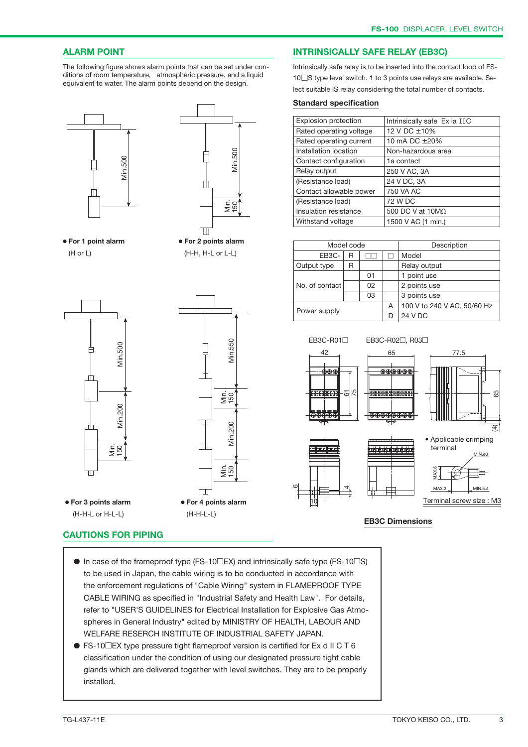#### **ALARM POINT**

The following figure shows alarm points that can be set under conditions of room temperature, atmospheric pressure, and a liquid equivalent to water. The alarm points depend on the design.





(H or L) (H-H, H-L or L-L)

● **For 1 point alarm** ● **For 2 points alarm** 





#### **INTRINSICALLY SAFE RELAY (EB3C)**

Intrinsically safe relay is to be inserted into the contact loop of FS-10□S type level switch. 1 to 3 points use relays are available. Select suitable IS relay considering the total number of contacts.

#### **Standard specification**

| Explosion protection    | Intrinsically safe Ex ia IIC |
|-------------------------|------------------------------|
| Rated operating voltage | 12 V DC ±10%                 |
| Rated operating current | 10 mA DC ±20%                |
| Installation location   | Non-hazardous area           |
| Contact configuration   | 1a contact                   |
| Relay output            | 250 V AC, 3A                 |
| (Resistance load)       | 24 V DC, 3A                  |
| Contact allowable power | 750 VA AC                    |
| (Resistance load)       | 72 W DC                      |
| Insulation resistance   | 500 DC V at $10M\Omega$      |
| Withstand voltage       | 1500 V AC (1 min.)           |
|                         |                              |

| Model code       |  |    |         | Description                 |
|------------------|--|----|---------|-----------------------------|
| EB3C-<br>R       |  |    | Model   |                             |
| Output type<br>R |  |    |         | Relay output                |
|                  |  | 01 |         | 1 point use                 |
| No. of contact   |  | 02 |         | 2 points use                |
|                  |  | 03 |         | 3 points use                |
| Power supply     |  |    | A       | 100 V to 240 V AC, 50/60 Hz |
|                  |  | D  | 24 V DC |                             |



- $\bullet$  In case of the frameproof type (FS-10 $\square$ EX) and intrinsically safe type (FS-10 $\square$ S) to be used in Japan, the cable wiring is to be conducted in accordance with the enforcement regulations of "Cable Wiring" system in FLAMEPROOF TYPE CABLE WIRING as specified in "Industrial Safety and Health Law". For details, refer to "USER'S GUIDELINES for Electrical Installation for Explosive Gas Atmospheres in General Industry" edited by MINISTRY OF HEALTH, LABOUR AND WELFARE RESERCH INSTITUTE OF INDUSTRIAL SAFETY JAPAN.
- $\bullet$  FS-10 $\Box$ EX type pressure tight flameproof version is certified for Ex d II C T 6 classification under the condition of using our designated pressure tight cable glands which are delivered together with level switches. They are to be properly installed.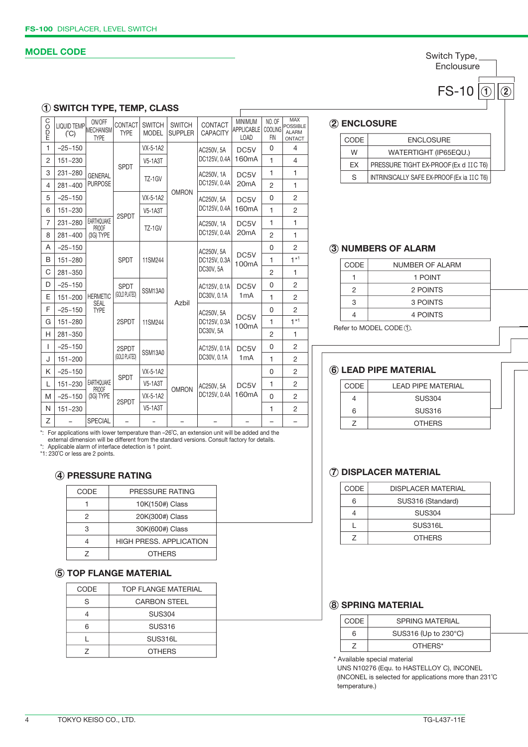#### **MODEL CODE**

Switch Type, **Enclousure** 

**FS-10** 0 **2** 

## **1 SWITCH TYPE, TEMP, CLASS**

| <b>OO</b><br>E | <b>LIQUID TEMP</b><br>(C) | ON/OFF<br>MECHANISM<br><b>TYPE</b> | CONTACT<br><b>TYPE</b> | <b>SWITCH</b><br><b>MODEL</b> | <b>SWITCH</b><br><b>SUPPLER</b> | CONTACT<br><b>CAPACITY</b> | <b>MINIMUM</b><br><b>APPLICABLE</b><br><b>LOAD</b> | NO. OF<br><b>COOLING</b><br>FIN | <b>MAX</b><br><b>POSSIBLE</b><br><b>ALARM</b><br>ONTACT |                |              |                    |              |                |
|----------------|---------------------------|------------------------------------|------------------------|-------------------------------|---------------------------------|----------------------------|----------------------------------------------------|---------------------------------|---------------------------------------------------------|----------------|--------------|--------------------|--------------|----------------|
| $\mathbf{1}$   | $-25 - 150$               | <b>GENERAL</b>                     | VX-5-1A2<br>AC250V, 5A |                               | DC5V                            | 0                          | 4                                                  |                                 |                                                         |                |              |                    |              |                |
| $\overline{2}$ | 151~230                   |                                    |                        |                               |                                 |                            |                                                    | <b>SPDT</b>                     | <b>V5-1A3T</b>                                          |                | DC125V, 0.4A | 160 <sub>m</sub> A | $\mathbf{1}$ | $\overline{4}$ |
| 3              | 231~280                   |                                    |                        | TZ-1GV                        | AC250V, 1A                      | DC5V                       | 1                                                  | 1                               |                                                         |                |              |                    |              |                |
| 4              | 281~400                   | <b>PURPOSE</b>                     |                        |                               | <b>OMRON</b>                    | DC125V, 0.4A               | 20 <sub>m</sub> A                                  | $\overline{2}$                  | 1                                                       |                |              |                    |              |                |
| 5              | $-25 - 150$               |                                    |                        | VX-5-1A2                      |                                 | AC250V, 5A                 | DC5V                                               | 0                               | $\overline{2}$                                          |                |              |                    |              |                |
| 6              | $151 - 230$               |                                    | 2SPDT                  | <b>V5-1A3T</b>                |                                 | DC125V, 0.4A               | 160 <sub>m</sub> A                                 | 1                               | $\overline{c}$                                          |                |              |                    |              |                |
| $\overline{7}$ | 231~280                   | <b>EARTHQUAKE</b><br>PROOF         |                        | TZ-1GV                        |                                 | AC250V, 1A                 | DC5V                                               | 1                               | 1                                                       |                |              |                    |              |                |
| 8              | 281~400                   | (3G) TYPE                          |                        |                               |                                 | DC125V, 0.4A               | 20 <sub>m</sub> A                                  | $\overline{2}$                  | 1                                                       |                |              |                    |              |                |
| A              | $-25 - 150$               |                                    |                        |                               |                                 | AC250V, 5A                 | DC5V                                               | 0                               | $\overline{2}$                                          |                |              |                    |              |                |
| B              | 151~280                   |                                    | <b>SPDT</b>            | 11SM244                       |                                 | DC125V, 0.3A               | 100 <sub>m</sub> A                                 | 1                               | $1*1$                                                   |                |              |                    |              |                |
| C              | 281~350                   |                                    |                        |                               |                                 |                            | DC30V, 5A                                          |                                 | 2                                                       | 1              |              |                    |              |                |
| D              | $-25 - 150$               |                                    |                        | <b>SPDT</b>                   | SSM13A0                         |                            | AC125V, 0.1A                                       | DC5V                            | 0                                                       | 2              |              |                    |              |                |
| E              | $151 - 200$               | <b>HERMETIC</b><br><b>SEAL</b>     | (GOLD PLATED)          |                               |                                 | Azbil                      | DC30V, 0.1A                                        | 1mA                             | 1                                                       | $\overline{2}$ |              |                    |              |                |
| F              | $-25 - 150$               | <b>TYPE</b>                        | 2SPDT                  |                               |                                 |                            |                                                    |                                 |                                                         |                | AC250V, 5A   | DC5V               | 0            | $\overline{2}$ |
| G              | 151~280                   |                                    |                        | 11SM244                       |                                 | DC125V, 0.3A               | 100 <sub>m</sub> A                                 | 1                               | $1*1$                                                   |                |              |                    |              |                |
| H              | 281~350                   |                                    |                        |                               |                                 | DC30V, 5A                  |                                                    | 2                               | 1                                                       |                |              |                    |              |                |
| I              | $-25 - 150$               |                                    | 2SPDT                  | SSM13A0                       |                                 | AC125V, 0.1A               | DC5V                                               | 0                               | 2                                                       |                |              |                    |              |                |
| J              | $151 - 200$               |                                    | (GOLD PLATED)          |                               |                                 | DC30V, 0.1A                | 1mA                                                | 1                               | 2                                                       |                |              |                    |              |                |
| K              | $-25 - 150$               |                                    | <b>SPDT</b>            | VX-5-1A2                      |                                 |                            |                                                    | 0                               | 2                                                       |                |              |                    |              |                |
| L              | 151~230                   | EARTHQUAKE<br>PROOF                | 2SPDT                  | <b>V5-1A3T</b>                | <b>OMRON</b>                    | AC250V, 5A                 | DC5V                                               | $\mathbf{1}$                    | 2                                                       |                |              |                    |              |                |
| M              | $-25 - 150$               | (3G) TYPE                          |                        | VX-5-1A2                      |                                 | DC125V, 0.4A               | 160mA                                              | 0                               | 2                                                       |                |              |                    |              |                |
| N              | 151~230                   |                                    |                        | <b>V5-1A3T</b>                |                                 |                            |                                                    | $\mathbf{1}$                    | 2                                                       |                |              |                    |              |                |
| Z              |                           | <b>SPECIAL</b>                     |                        |                               |                                 |                            |                                                    |                                 |                                                         |                |              |                    |              |                |

# \*: For applications with lower temperature than –26°C, an extension unit will be added and the<br>external dimension will be different from the standard versions. Consult factory for details.<br>\*: Applicable alarm of interface

## **4 PRESSURE RATING**

| CODE | PRESSURE RATING                |  |
|------|--------------------------------|--|
|      | 10K(150#) Class                |  |
|      | 20K(300#) Class                |  |
|      | 30K(600#) Class                |  |
|      | <b>HIGH PRESS, APPLICATION</b> |  |
|      | <b>OTHERS</b>                  |  |
|      |                                |  |

#### **5 TOP FLANGE MATERIAL**

| <b>TOP FLANGE MATERIAL</b> |  |
|----------------------------|--|
| <b>CARBON STEEL</b>        |  |
| <b>SUS304</b>              |  |
| <b>SUS316</b>              |  |
| SUS316L                    |  |
| <b>OTHERS</b>              |  |
|                            |  |

## **2 ENCLOSURE**

| CODE | <b>ENCLOSURE</b>                           |
|------|--------------------------------------------|
| W    | WATERTIGHT (IP65EQU.)                      |
| FX   | PRESSURE TIGHT EX-PROOF (Ex d IIC T6)      |
| S    | INTRINSICALLY SAFE EX-PROOF (Ex ia IIC T6) |

### **3 NUMBERS OF ALARM**

| <b>CODE</b> | NUMBER OF ALARM |  |
|-------------|-----------------|--|
|             | 1 POINT         |  |
|             | 2 POINTS        |  |
| 3           | 3 POINTS        |  |
|             | 4 POINTS        |  |
|             |                 |  |

Refer to MODEL CODE 1.

## **6 LEAD PIPE MATERIAL**

| CODE | I FAD PIPF MATFRIAI |  |
|------|---------------------|--|
|      | <b>SUS304</b>       |  |
| 6    | <b>SUS316</b>       |  |
|      | <b>OTHERS</b>       |  |

## **7 DISPLACER MATERIAL**

| CODE | <b>DISPLACER MATERIAL</b> |  |
|------|---------------------------|--|
|      | SUS316 (Standard)         |  |
|      | <b>SUS304</b>             |  |
|      | SUS316L                   |  |
|      | <b>OTHERS</b>             |  |

## **8 SPRING MATERIAL**

| CODE. | SPRING MATERIAL      |  |
|-------|----------------------|--|
|       | SUS316 (Up to 230°C) |  |
|       | OTHERS*              |  |

\* Available special material

 UNS N10276 (Equ. to HASTELLOY C), INCONEL (INCONEL is selected for applications more than 231˚C temperature.)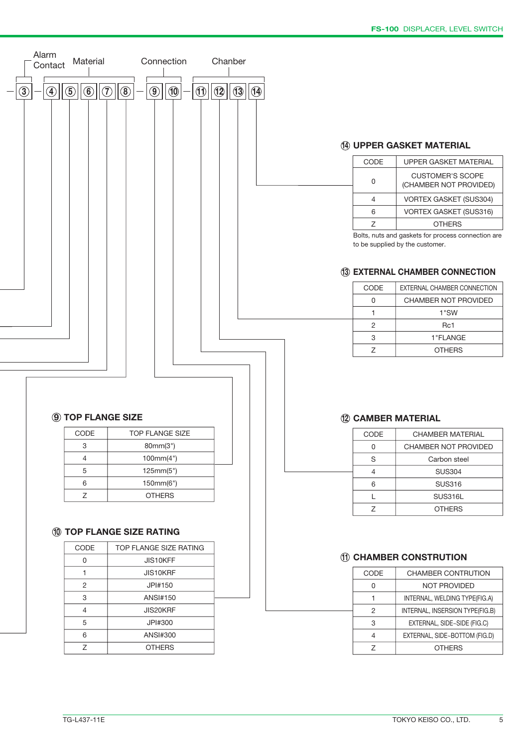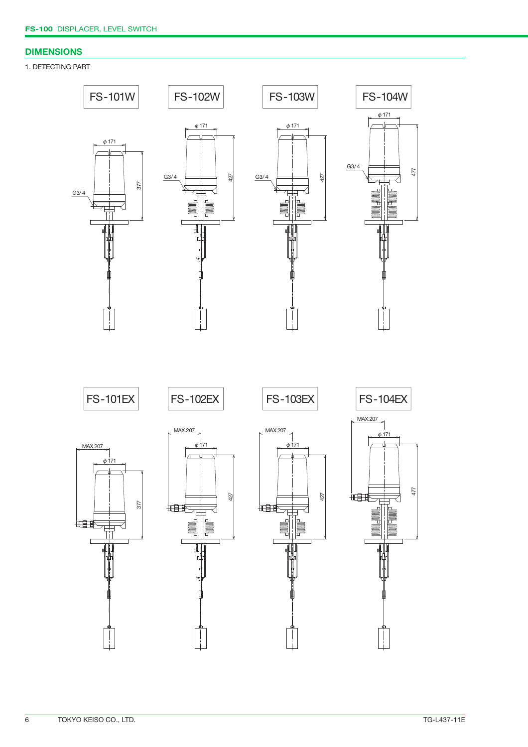#### **DIMENSIONS**

#### 1. DETECTING PART

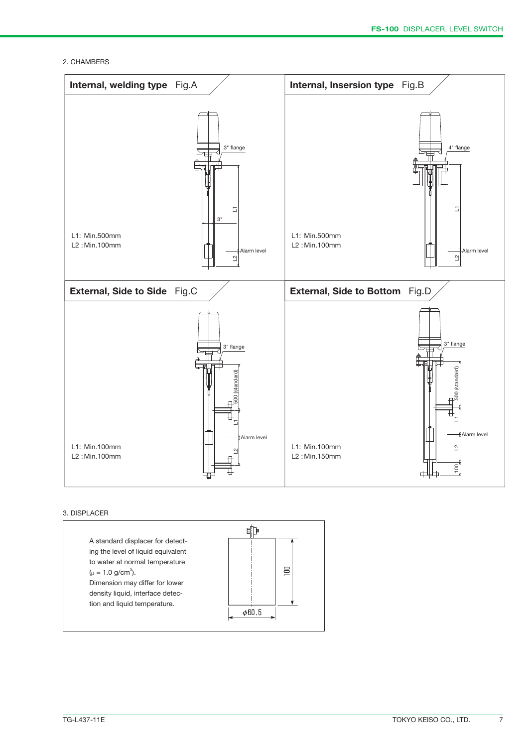2. CHAMBERS



#### 3. DISPLACER